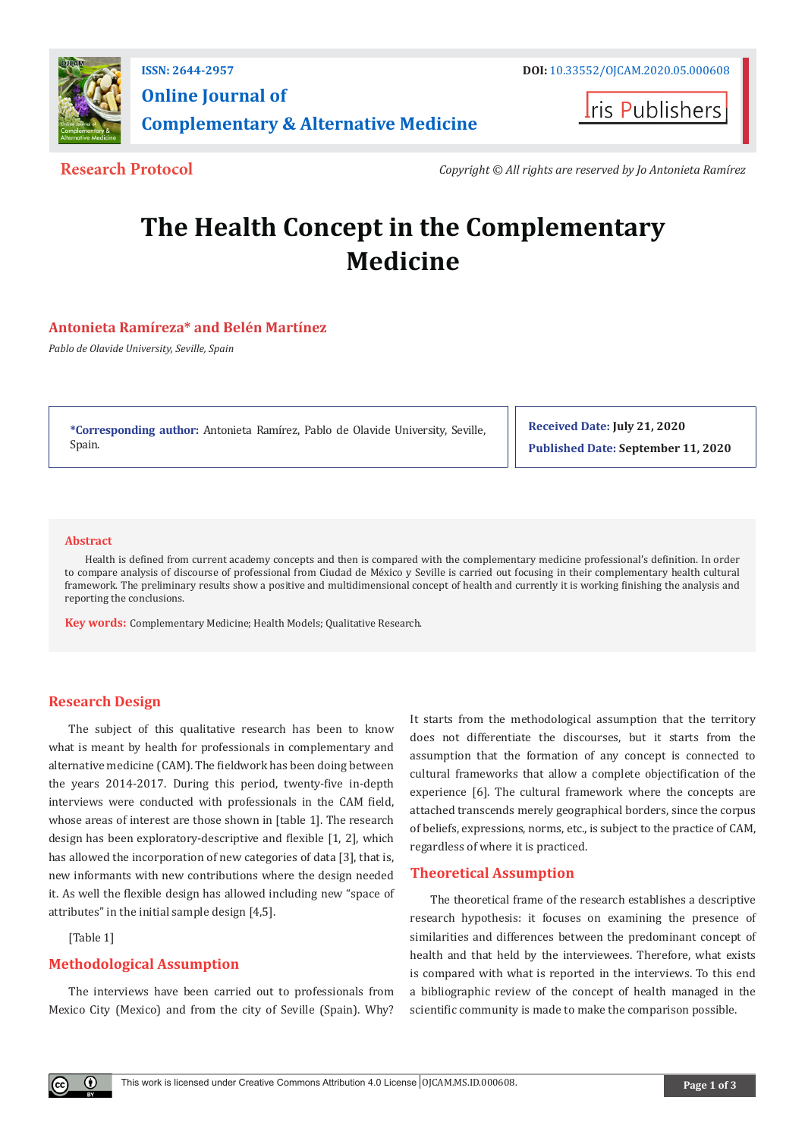

**Iris Publishers** 

**Research Protocol** *Copyright © All rights are reserved by Jo Antonieta Ramírez* 

# **The Health Concept in the Complementary Medicine**

# **Antonieta Ramíreza\* and Belén Martínez**

*Pablo de Olavide University, Seville, Spain*

**\*Corresponding author:** Antonieta Ramírez, Pablo de Olavide University, Seville, Spain.

**Received Date: July 21, 2020 Published Date: September 11, 2020**

#### **Abstract**

Health is defined from current academy concepts and then is compared with the complementary medicine professional's definition. In order to compare analysis of discourse of professional from Ciudad de México y Seville is carried out focusing in their complementary health cultural framework. The preliminary results show a positive and multidimensional concept of health and currently it is working finishing the analysis and reporting the conclusions.

**Key words:** Complementary Medicine; Health Models; Qualitative Research.

# **Research Design**

The subject of this qualitative research has been to know what is meant by health for professionals in complementary and alternative medicine (CAM). The fieldwork has been doing between the years 2014-2017. During this period, twenty-five in-depth interviews were conducted with professionals in the CAM field, whose areas of interest are those shown in [table 1]. The research design has been exploratory-descriptive and flexible [1, 2], which has allowed the incorporation of new categories of data [3], that is, new informants with new contributions where the design needed it. As well the flexible design has allowed including new "space of attributes" in the initial sample design [4,5].

[Table 1]

 $\bf{0}$ 

## **Methodological Assumption**

The interviews have been carried out to professionals from Mexico City (Mexico) and from the city of Seville (Spain). Why? It starts from the methodological assumption that the territory does not differentiate the discourses, but it starts from the assumption that the formation of any concept is connected to cultural frameworks that allow a complete objectification of the experience [6]. The cultural framework where the concepts are attached transcends merely geographical borders, since the corpus of beliefs, expressions, norms, etc., is subject to the practice of CAM, regardless of where it is practiced.

## **Theoretical Assumption**

The theoretical frame of the research establishes a descriptive research hypothesis: it focuses on examining the presence of similarities and differences between the predominant concept of health and that held by the interviewees. Therefore, what exists is compared with what is reported in the interviews. To this end a bibliographic review of the concept of health managed in the scientific community is made to make the comparison possible.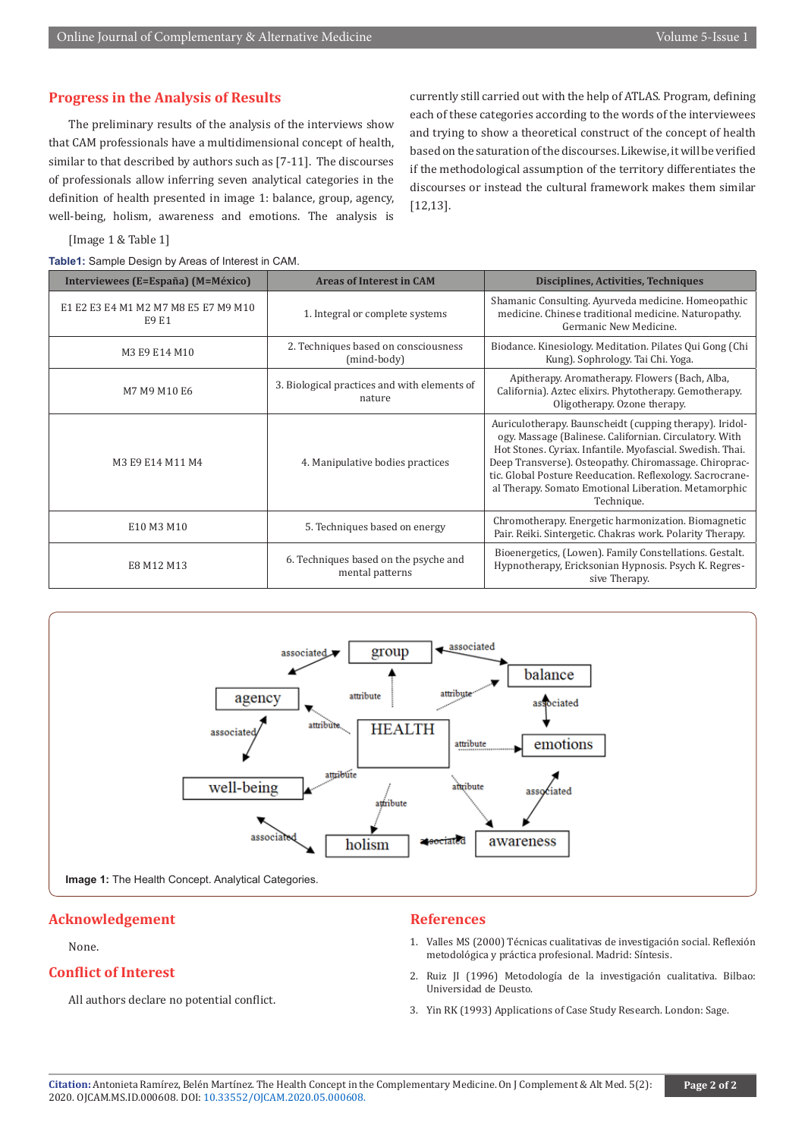# **Progress in the Analysis of Results**

The preliminary results of the analysis of the interviews show that CAM professionals have a multidimensional concept of health, similar to that described by authors such as [7-11]. The discourses of professionals allow inferring seven analytical categories in the definition of health presented in image 1: balance, group, agency, well-being, holism, awareness and emotions. The analysis is

currently still carried out with the help of ATLAS. Program, defining each of these categories according to the words of the interviewees and trying to show a theoretical construct of the concept of health based on the saturation of the discourses. Likewise, it will be verified if the methodological assumption of the territory differentiates the discourses or instead the cultural framework makes them similar [12,13].

#### [Image 1 & Table 1]

**Table1:** Sample Design by Areas of Interest in CAM.

| Interviewees (E=España) (M=México)            | <b>Areas of Interest in CAM</b>                          | Disciplines, Activities, Techniques                                                                                                                                                                                                                                                                                                                                         |
|-----------------------------------------------|----------------------------------------------------------|-----------------------------------------------------------------------------------------------------------------------------------------------------------------------------------------------------------------------------------------------------------------------------------------------------------------------------------------------------------------------------|
| E1 E2 E3 E4 M1 M2 M7 M8 E5 E7 M9 M10<br>E9 E1 | 1. Integral or complete systems                          | Shamanic Consulting. Ayurveda medicine. Homeopathic<br>medicine. Chinese traditional medicine. Naturopathy.<br>Germanic New Medicine.                                                                                                                                                                                                                                       |
| M3 E9 E14 M10                                 | 2. Techniques based on consciousness<br>(mind-body)      | Biodance. Kinesiology. Meditation. Pilates Qui Gong (Chi<br>Kung). Sophrology. Tai Chi. Yoga.                                                                                                                                                                                                                                                                               |
| M7 M9 M10 E6                                  | 3. Biological practices and with elements of<br>nature   | Apitherapy. Aromatherapy. Flowers (Bach, Alba,<br>California). Aztec elixirs. Phytotherapy. Gemotherapy.<br>Oligotherapy. Ozone therapy.                                                                                                                                                                                                                                    |
| M3 E9 E14 M11 M4                              | 4. Manipulative bodies practices                         | Auriculotherapy. Baunscheidt (cupping therapy). Iridol-<br>ogy. Massage (Balinese. Californian. Circulatory. With<br>Hot Stones. Cyriax. Infantile. Myofascial. Swedish. Thai.<br>Deep Transverse). Osteopathy. Chiromassage. Chiroprac-<br>tic. Global Posture Reeducation. Reflexology. Sacrocrane-<br>al Therapy. Somato Emotional Liberation. Metamorphic<br>Technique. |
| E10 M3 M10                                    | 5. Techniques based on energy                            | Chromotherapy. Energetic harmonization. Biomagnetic<br>Pair. Reiki. Sintergetic. Chakras work. Polarity Therapy.                                                                                                                                                                                                                                                            |
| E8 M12 M13                                    | 6. Techniques based on the psyche and<br>mental patterns | Bioenergetics, (Lowen). Family Constellations. Gestalt.<br>Hypnotherapy, Ericksonian Hypnosis. Psych K. Regres-<br>sive Therapy.                                                                                                                                                                                                                                            |



# **Acknowledgement**

## None.

# **Conflict of Interest**

All authors declare no potential conflict.

## **References**

- 1. Valles MS (2000) Técnicas cualitativas de investigación social. Reflexión metodológica y práctica profesional. Madrid: Síntesis.
- 2. Ruiz JI (1996) Metodología de la investigación cualitativa. Bilbao: Universidad de Deusto.
- 3. Yin RK (1993) Applications of Case Study Research. London: Sage.